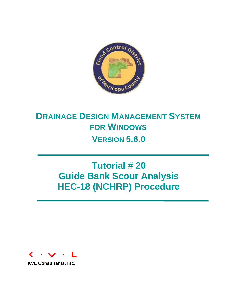

# **DRAINAGE DESIGN MANAGEMENT SYSTEM FOR WINDOWS VERSION 5.6.0**

# **Tutorial # 20 Guide Bank Scour Analysis HEC-18 (NCHRP) Procedure**



**KVL Consultants, Inc.**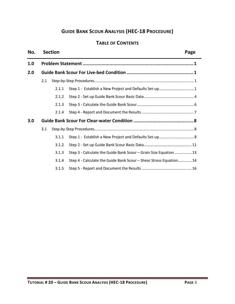# **GUIDE BANK SCOUR ANALYSIS (HEC-18 PROCEDURE)**

# **TABLE OF CONTENTS**

#### **No. Section Page**

| 1.0 |     |       |                                                                    |  |  |  |  |  |  |
|-----|-----|-------|--------------------------------------------------------------------|--|--|--|--|--|--|
| 2.0 |     |       |                                                                    |  |  |  |  |  |  |
|     | 2.1 |       |                                                                    |  |  |  |  |  |  |
|     |     | 2.1.1 | Step 1 - Establish a New Project and Defaults Set-up 1             |  |  |  |  |  |  |
|     |     | 2.1.2 |                                                                    |  |  |  |  |  |  |
|     |     | 2.1.3 |                                                                    |  |  |  |  |  |  |
|     |     | 2.1.4 |                                                                    |  |  |  |  |  |  |
| 3.0 |     |       |                                                                    |  |  |  |  |  |  |
|     | 3.1 |       |                                                                    |  |  |  |  |  |  |
|     |     | 3.1.1 |                                                                    |  |  |  |  |  |  |
|     |     | 3.1.2 |                                                                    |  |  |  |  |  |  |
|     |     | 3.1.3 | Step 3 - Calculate the Guide Bank Scour - Grain Size Equation  13  |  |  |  |  |  |  |
|     |     | 3.1.4 | Step 4 - Calculate the Guide Bank Scour - Shear Stress Equation 14 |  |  |  |  |  |  |
|     |     | 3.1.5 |                                                                    |  |  |  |  |  |  |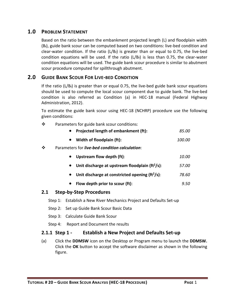# <span id="page-2-0"></span>**1.0 PROBLEM STATEMENT**

Based on the ratio between the embankment projected length (L) and floodplain width  $(B_f)$ , guide bank scour can be computed based on two conditions: live-bed condition and clear-water condition. If the ratio  $(L/B_f)$  is greater than or equal to 0.75, the live-bed condition equations will be used. If the ratio  $(L/B_f)$  is less than 0.75, the clear-water condition equations will be used. The guide bank scour procedure is similar to abutment scour procedure computed for spillthrough abutment.

# <span id="page-2-1"></span>**2.0 GUIDE BANK SCOUR FOR LIVE-BED CONDITION**

If the ratio  $(L/B_f)$  is greater than or equal 0.75, the live-bed guide bank scour equations should be used to compute the local scour component due to guide bank. The live-bed condition is also referred as Condition (a) in HEC-18 manual (Federal Highway Administration, 2012).

To estimate the guide bank scour using HEC-18 (NCHRP) procedure use the following given conditions:

❖ Parameters for guide bank scour conditions:

| Projected length of embankment (ft):                             | 85.00         |
|------------------------------------------------------------------|---------------|
| Width of floodplain (ft):<br>$\bullet$                           | <i>100.00</i> |
| ❖<br>Parameters for live-bed condition calculation:              |               |
| <b>Upstream flow depth (ft):</b><br>$\bullet$                    | <i>10.00</i>  |
| Unit discharge at upstream floodplain ( $ft^2/s$ ):<br>$\bullet$ | 57.00         |
| Unit discharge at constricted opening $(ft^2/s)$ :<br>$\bullet$  | 78.60         |
| Flow depth prior to scour (ft):                                  | 9.50          |

#### <span id="page-2-2"></span>**2.1 Step-by-Step Procedures**

- Step 1: Establish a New River Mechanics Project and Defaults Set-up
- Step 2: Set up Guide Bank Scour Basic Data
- Step 3: Calculate Guide Bank Scour
- Step 4: Report and Document the results

#### <span id="page-2-3"></span>**2.1.1 Step 1 - Establish a New Project and Defaults Set-up**

(a) Click the **DDMSW** icon on the Desktop or Program menu to launch the **DDMSW.** Click the **OK** button to accept the software disclaimer as shown in the following figure.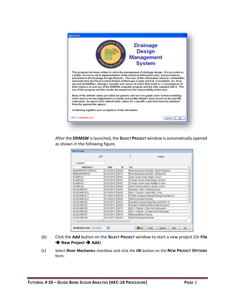

After the **DDMSW** is launched, the **SELECT PROJECT** window is automatically opened as shown in the following figure.

|                      | List             |       | Details                                    |   |
|----------------------|------------------|-------|--------------------------------------------|---|
| Lookfor              |                  |       |                                            |   |
| Reference -          | Date             | 10    | Title                                      | × |
| BANKPROTECTIONFCD    | 01/01/2012       | 00049 | River Mechanics Example - Bank Protection  |   |
| <b>BRIDGEPIERFCD</b> | 01/01/2012       | 00011 | River Mechanics Example - Bridge Pier      |   |
| EXAMPLE1             | 01/01/2010 00001 |       | Clark, Green Ampt, Single, 5 Hour          |   |
| EXAMPLE2             | 01/01/2010       | 00002 | S-Graph, Green-Ampt, Single, 24 Hour       |   |
| <b>EXAMPLE3</b>      | 01/01/2010       | 00003 | S-Graph, Green-Ampt, Multiple, 6 Hour      |   |
| <b>EXAMPLE4</b>      | 01/01/2010 00004 |       | Clark, Init and Uniform, Single, 6 Hour    |   |
| KVI EXAMPLE1         | 01/01/2011       | 00005 | Example 1 HEC-1 tutorial project           |   |
| KVLEXAMPLE10         | 01/10/2014 00025 |       | HEC-1 Tutorial - Import HEC-1 File         |   |
| KVLEXAMPLE11         | 01/10/2014 00029 |       | FCDMC Hydraulics Manual Design Example 4.6 |   |
| KVLEXAMPLE12         | 01/10/2014       | 00030 | Street Drainage Example                    |   |
| KVLEXAMPLE2          | 01/01/2011 00021 |       | Example 2 using Shape files and NOAA 14    |   |
| KVLEXAMPLE3          | 01/01/2011 00024 |       | Example 3 Rational Method tutorial project |   |
| KVLEXAMPLE5          | 01/01/2011 00017 |       | HEC-1 Tutorial - Clark Unit Hydrograph     |   |
| <b>KVLEXAMPLE6</b>   | 01/01/2011 00018 |       | HEC-1 Tutonal - S-Graph Unit Hydrograph    |   |
| KVLEXAMPLE7          | 01/01/2011 00019 |       | Rational Method Tutorial                   |   |
| KVLEXAMPLER          | 01/01/2011 00020 |       | Street Drainage Examples                   |   |
| $8.1 - 1.0$          | at.              |       | <b>CONTRACTOR CONTRACTOR</b>               | ٠ |

- (b) Click the **Add** button on the **SELECT PROJECT** window to start a new project (Or **File → New Project → Add**).
- (c) Select **River Mechanics** checkbox and click the **OK** button on the **NEW PROJECT OPTIONS**  form.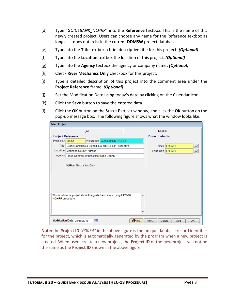- (d) Type "*GUIDEBANK\_NCHRP*" into the **Reference** textbox. This is the name of this newly created project. Users can choose any name for the Reference textbox as long as it does not exist in the current **DDMSW** project database.
- (e) Type into the **Title** textbox a brief descriptive title for this project. *(Optional)*
- (f) Type into the **Location** textbox the location of this project. *(Optional)*
- (g) Type into the **Agency** textbox the agency or company name**.** *(Optional)*
- (h) Check **River Mechanics Only** checkbox for this project.
- (i) Type a detailed description of this project into the comment area under the **Project Reference** frame. *(Optional)*
- (j) Set the Modification Date using today's date by clicking on the Calendar icon.
- (k) Click the **Save** button to save the entered data.
- (l) Click the **OK** button on the **SELECT PROJECT** window, and click the **OK** button on the pop-up message box. The following figure shows what the window looks like.

| <b>Select Project</b> |                                                    |                         |                                                                    |                         |   |                  |             |  |    |
|-----------------------|----------------------------------------------------|-------------------------|--------------------------------------------------------------------|-------------------------|---|------------------|-------------|--|----|
|                       |                                                    | List                    |                                                                    |                         |   | Details          |             |  |    |
|                       | <b>Project Reference</b>                           |                         |                                                                    | <b>Project Defaults</b> |   |                  |             |  |    |
| Project ID            | 00054                                              |                         | Reference GUIDEBANK_NCHRP                                          |                         |   |                  |             |  |    |
| Title                 |                                                    |                         | Guide Bank Scour using HEC-18 NCHRP Procedure                      |                         |   |                  | Soils FCDMC |  |    |
| Location              | Maricopa County, Arizona                           |                         |                                                                    |                         |   | Land Use   FCDMC |             |  |    |
|                       | Agency   Flood Control District of Maricopa County |                         |                                                                    |                         |   |                  |             |  |    |
| River Mechanics Only  |                                                    |                         |                                                                    |                         |   |                  |             |  |    |
| NCHRP procedure.      |                                                    |                         | This is a tutorial project about the guide bank scour using HEC-18 |                         | ▲ |                  |             |  |    |
|                       | Modification Date 05/10/2018                       | $\overline{\mathbf{a}}$ |                                                                    | <b>O</b> Info           |   | Print<br>Delete  | Add         |  | OK |

**Note:** the **Project ID** "*00054"* in the above figure is the unique database record identifier for the project, which is automatically generated by the program when a new project is created. When users create a new project, the **Project ID** of the new project will not be the same as the **Project ID** shown in the above figure.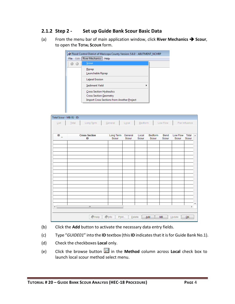# <span id="page-5-0"></span>**2.1.2 Step 2 - Set up Guide Bank Scour Basic Data**

(a) From the menu bar of main application window, click **River Mechanics Scour**, to open the **TOTAL SCOUR** form.

| Edit<br>File | River Mechanics<br>Help                           |  |
|--------------|---------------------------------------------------|--|
|              | Scour                                             |  |
|              | Riprap                                            |  |
|              | Launchable Riprap                                 |  |
|              | <b>Lateral Erosion</b>                            |  |
|              | Sediment Yield                                    |  |
|              | Cross Section Hydraulics                          |  |
|              | <b>Cross Section Geometry</b>                     |  |
|              | <b>Import Cross Sections from Another Project</b> |  |

| Total Scour - MB: 01 - ID:  |                      |                          |                      |         |         |           |          |                |                          |
|-----------------------------|----------------------|--------------------------|----------------------|---------|---------|-----------|----------|----------------|--------------------------|
| $\underline{\mathsf{List}}$ | Total<br>Long Term   | General                  | $L\underline{o}$ cal | Bedform |         | Low Flow  |          | Pier Influence |                          |
|                             |                      |                          |                      |         |         |           |          |                |                          |
| ID                          | <b>Cross Section</b> | Long Term                | General              | Local   | Bedform | Bend      | Low Flow | Total          | $\blacktriangle$         |
| $\triangle$                 | ID                   | Scour                    | Scour                | Scour   | Scour   | Scour     | Scour    | Scour          |                          |
|                             |                      |                          |                      |         |         |           |          |                |                          |
|                             |                      |                          |                      |         |         |           |          |                |                          |
|                             |                      |                          |                      |         |         |           |          |                |                          |
|                             |                      |                          |                      |         |         |           |          |                |                          |
|                             |                      |                          |                      |         |         |           |          |                |                          |
|                             |                      |                          |                      |         |         |           |          |                |                          |
|                             |                      |                          |                      |         |         |           |          |                |                          |
|                             |                      |                          |                      |         |         |           |          |                |                          |
|                             |                      |                          |                      |         |         |           |          |                |                          |
|                             |                      |                          |                      |         |         |           |          |                |                          |
|                             |                      |                          |                      |         |         |           |          |                |                          |
|                             |                      |                          |                      |         |         |           |          |                |                          |
| ∢                           | m,                   |                          |                      |         |         |           |          | Þ.             | $\overline{\phantom{a}}$ |
|                             |                      |                          |                      |         |         |           |          |                |                          |
|                             | $\bigcirc$ Help      | $\Diamond$ Info<br>Print |                      | Delete  | Add     | <b>MB</b> | Update   | QK             |                          |
|                             |                      |                          |                      |         |         |           |          |                |                          |

- (b) Click the **Add** button to activate the necessary data entry fields.
- (c) Type "*GUIDE01*" into the **ID** textbox (this **ID** indicates that it is for Guide Bank No.1).
- (d) Check the checkboxes **Local** only.
- (e) Click the browse button in the **Method** column across **Local** check box to launch local scour method select menu.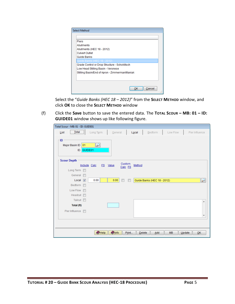| <b>Select Method</b>                           |              |
|------------------------------------------------|--------------|
|                                                |              |
| <b>Piers</b>                                   |              |
| Abutments                                      |              |
| Abutments (HEC 18 - 2012)                      |              |
| <b>Culvert Outlet</b>                          |              |
| Guide Banks                                    |              |
| Guide Banks (HEC 18 - 2012)                    |              |
| Grade Control or Drop Structure - Schoklitsch  |              |
| Low Head Stilling Basin - Veronese             |              |
| Stilling Basin/End of Apron - Zimmerman/Maniak |              |
|                                                |              |
|                                                |              |
|                                                | Cancel<br>ок |

Select the "*Guide Banks (HEC 18 – 2012)*" from the **SELECT METHOD** window, and click **OK** to close the **SELECT METHOD** window

(f) Click the **Save** button to save the entered data. The **TOTAL SCOUR – MB: 01 – ID: GUIDE01** window shows up like following figure.

| Total Scour - MB: 01 - ID: GUIDE01                 |                  |               |                               |                             |           |                          |
|----------------------------------------------------|------------------|---------------|-------------------------------|-----------------------------|-----------|--------------------------|
| $Total$<br>List                                    | Long Term        | General       |                               | Local<br>Bedform            | Low Flow  | Pier Influence           |
| <b>ID</b><br>Major Basin ID<br>01<br>GUIDE01<br>ID | $\overline{\nu}$ |               |                               |                             |           |                          |
| <b>Scour Depth</b>                                 |                  |               | Custom                        |                             |           |                          |
|                                                    | Include Calc     | FS Value      | Calc FS                       | Method                      |           |                          |
| Long Term                                          |                  |               |                               |                             |           |                          |
| General<br>F                                       |                  |               |                               |                             |           |                          |
| Local<br>$\sqrt{2}$                                | 0.00             | 0.00          | $\overline{\phantom{a}}$<br>F | Guide Banks (HEC 18 - 2012) |           | P                        |
| Bedform<br>$\overline{\phantom{a}}$                |                  |               |                               |                             |           |                          |
| Low Flow <b>F</b>                                  |                  |               |                               |                             |           |                          |
| Headcut <b>n</b>                                   |                  |               |                               |                             |           |                          |
| Tailcut <b>n</b>                                   |                  |               |                               |                             |           | ▲                        |
| Total (ft)                                         |                  |               |                               |                             |           |                          |
| Pier Influence<br>$\overline{\mathbb{R}^n}$        |                  |               |                               |                             |           |                          |
|                                                    |                  |               |                               |                             |           | $\overline{\phantom{a}}$ |
|                                                    |                  |               |                               |                             |           |                          |
|                                                    |                  |               |                               |                             |           |                          |
|                                                    | $\bullet$ Help   | <b>O</b> Info | Print                         | Delete<br>Add               | <b>MB</b> | Update<br>QK             |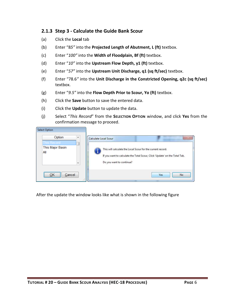### <span id="page-7-0"></span>**2.1.3 Step 3 - Calculate the Guide Bank Scour**

- (a) Click the **Local** tab
- (b) Enter "8*5"* into the **Projected Length of Abutment, L (ft)** textbox.
- (c) Enter "*100"* into the **Width of Floodplain, Bf (ft)** textbox.
- (d) Enter "*10"* into the **Upstream Flow Depth, y1 (ft)** textbox.
- (e) Enter "*57"* into the **Upstream Unit Discharge, q1 (sq ft/sec)** textbox.
- (f) Enter "78.6*"* into the **Unit Discharge in the Constricted Opening, q2c (sq ft/sec)** textbox.
- (g) Enter "*9.5"* into the **Flow Depth Prior to Scour, Yo (ft)** textbox.
- (h) Click the **Save** button to save the entered data.
- (i) Click the **Update** button to update the data.
- (j) Select "*This Record*" from the **SELECTION OPTION** window, and click **Yes** from the confirmation message to proceed.

| Select Option<br>Option<br>▲<br>This Record<br>This Major Basin<br>All<br>$\overline{\phantom{a}}$ | Calculate Local Scour<br>This will calculate the Local Scour for the current record.<br>Do you want to continue? | If you want to calculate the Total Scour, Click 'Update' on the Total Tab. |
|----------------------------------------------------------------------------------------------------|------------------------------------------------------------------------------------------------------------------|----------------------------------------------------------------------------|
| <br>Cancel<br><br>48                                                                               |                                                                                                                  | <b>Yes</b><br>No.                                                          |

After the update the window looks like what is shown in the following figure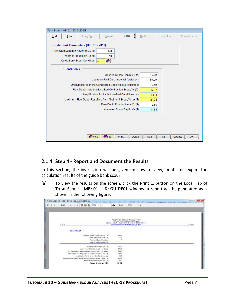| Total Scour - MB: 01 - ID: GUIDE01                                                                                                                                    |                |
|-----------------------------------------------------------------------------------------------------------------------------------------------------------------------|----------------|
| Long Term<br>Local<br>General<br>Bedform<br>Low Flow<br>List<br>Total                                                                                                 | Pier Influence |
| Guide Bank Parameters (HEC 18 - 2012)<br>Projected Length of Abutment, L (ft)<br>85.00<br>Width of Floodplain, Bf (ft)<br>100<br>Ø<br>Guide Bank Scour Condition<br>Α |                |
| <b>Condition A</b>                                                                                                                                                    |                |
| 10.00<br>Upstream Flow Depth, y1 (ft)                                                                                                                                 |                |
| Upstream Unit Discharge, q1 (sq ft/sec)<br>57.00                                                                                                                      |                |
| Unit Discharge in the Constricted Opening, g2c (sg ft/sec)<br>78.60                                                                                                   |                |
| Flow Depth Including Live-Bed Contraction Scour, Yc (ft)<br>13.17                                                                                                     |                |
| Amplification Factor for Live-Bed Conditions, aa<br>1.618                                                                                                             |                |
| Maximum Flow Depth Resulting from Abutment Scour, Ymax (ft)<br>21.31                                                                                                  |                |
| Flow Depth Prior to Scour, Yo (ft)<br>9.50                                                                                                                            |                |
| Abutment Scour Depth, Ys (ft)<br>11.81                                                                                                                                |                |
|                                                                                                                                                                       |                |
| <b>Olnfo</b><br>$\bullet$ Help<br>Print<br>Delete<br><b>MB</b><br>Update<br>Add                                                                                       | OK             |

# <span id="page-8-0"></span>**2.1.4 Step 4 - Report and Document the Results**

In this section, the instruction will be given on how to view, print, and export the calculation results of the guide bank scour.

(a) To view the results on the screen, click the **Print …** button on the Local Tab of **TOTAL SCOUR – MB: 01 – ID: GUIDE01** window, a report will be generated as is shown in the following figure.

| $x \equiv 4$ | 100%<br>Tol1<br>٠                                                                                                                                                                                                                                                                                                                                                                          | M<br>100%<br>1011<br>Total1                                                                                                                                                 |           |
|--------------|--------------------------------------------------------------------------------------------------------------------------------------------------------------------------------------------------------------------------------------------------------------------------------------------------------------------------------------------------------------------------------------------|-----------------------------------------------------------------------------------------------------------------------------------------------------------------------------|-----------|
|              | $-0.000$<br>Hage                                                                                                                                                                                                                                                                                                                                                                           | Fleed Colcins District of Mariospa County-<br><b>Crainese Design Management Signer</b><br>LOCAL SCOUR - DUCE RANKS HEC-15, CONDITION A<br>ProjectReference: GUIDEBANK_NCHRP | 5/14/2018 |
|              | <b>ID: G UIDE 01</b>                                                                                                                                                                                                                                                                                                                                                                       |                                                                                                                                                                             |           |
|              | Projected Length of Abutment, L. I ft.<br>Width of Floodplain, DF / R<br>Abulment Scour Condition<br><b>Belect Couston Dased On:</b>                                                                                                                                                                                                                                                       | \$5.00<br>$+00$<br>A                                                                                                                                                        |           |
|              | Upstream Flow Dealty of 179<br>Upstream Unit Discharge, all [sq flowd]<br>Unit Daufrage in the Constituted Opening, sBt.   sq flixed<br>Flow Depth Velksling Line-Bed Contracting Scout, Vit. [76]<br>Amathi ation Factor for Line-Baid Conditions, as<br>Maumurt Flou Depth Resulting from Abulment Socur, Virtual ( ft.<br>Flow Depth Prior to Sobor, Vis. (19)<br>Scour depth, ys ( ff) | 10:00<br>67.00<br>78.60<br>13.17<br>1.82<br>21.21<br>1.60<br>11.81                                                                                                          |           |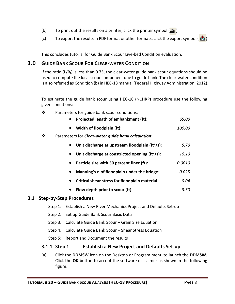- (b) To print out the results on a printer, click the printer symbol  $\left(\frac{B}{20}\right)$ .
- (c) To export the results in PDF format or other formats, click the export symbol ( $\binom{2}{3}$ )

This concludes tutorial for Guide Bank Scour Live-bed Condition evaluation.

# <span id="page-9-0"></span>**3.0 GUIDE BANK SCOUR FOR CLEAR-WATER CONDITION**

If the ratio ( $L/B_f$ ) is less than 0.75, the clear-water guide bank scour equations should be used to compute the local scour component due to guide bank. The clear-water condition is also referred as Condition (b) in HEC-18 manual (Federal Highway Administration, 2012).

To estimate the guide bank scour using HEC-18 (NCHRP) procedure use the following given conditions:

 $\mathbf{\hat{P}}$  Parameters for guide bank scour conditions:

| Projected length of embankment (ft): | 65.00 |
|--------------------------------------|-------|
|                                      |       |

- **Width of floodplain (ft):** *100.00*
- Parameters for *Clear-water guide bank calculation*:

|  | Unit discharge at upstream floodplain ( $\text{ft}^2\text{/s}$ ): | 5.70 |
|--|-------------------------------------------------------------------|------|
|--|-------------------------------------------------------------------|------|

- **Unit discharge at constricted opening (ft<sup>2</sup> /s)**: *10.10*
- **Particle size with 50 percent finer (ft)**: *0.0010*
- **Manning's n of floodplain under the bridge**: *0.025*
- **Critical shear stress for floodplain material**: *0.04*
- **Flow depth prior to scour (ft)**: *3.50*

#### <span id="page-9-1"></span>**3.1 Step-by-Step Procedures**

- Step 1: Establish a New River Mechanics Project and Defaults Set-up
- Step 2: Set up Guide Bank Scour Basic Data
- Step 3: Calculate Guide Bank Scour Grain Size Equation
- Step 4: Calculate Guide Bank Scour Shear Stress Equation
- Step 5: Report and Document the results

# <span id="page-9-2"></span>**3.1.1 Step 1 - Establish a New Project and Defaults Set-up**

(a) Click the **DDMSW** icon on the Desktop or Program menu to launch the **DDMSW.** Click the **OK** button to accept the software disclaimer as shown in the following figure.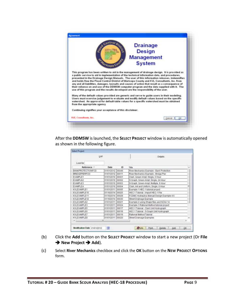

After the **DDMSW** is launched, the **SELECT PROJECT** window is automatically opened as shown in the following figure.

|                      | List             |       | Details                                    |   |
|----------------------|------------------|-------|--------------------------------------------|---|
| Lookfor              |                  |       |                                            |   |
| Reference -          | Date             | 10    | Title                                      | × |
| BANKPROTECTIONFCD    | 01/01/2012       | 00049 | River Mechanics Example - Bank Protection  |   |
| <b>BRIDGEPIERFCD</b> | 01/01/2012       | 00011 | River Mechanics Example - Bridge Pier      |   |
| EXAMPLE1             | 01/01/2010 00001 |       | Clark, Green Ampt, Single, 5 Hour          |   |
| EXAMPLE2             | 01/01/2010       | 00002 | S-Graph, Green-Ampt, Single, 24 Hour       |   |
| <b>EXAMPLE3</b>      | 01/01/2010       | 00003 | S-Graph, Green-Ampt, Multiple, 6 Hour      |   |
| <b>EXAMPLE4</b>      | 01/01/2010 00004 |       | Clark, Init and Uniform, Single, 6 Hour    |   |
| KVI EXAMPLE1         | 01/01/2011       | 00005 | Example 1 HEC-1 tutorial project           |   |
| KVLEXAMPLE10         | 01/10/2014 00025 |       | HEC-1 Tutorial - Import HEC-1 File         |   |
| KVLEXAMPLE11         | 01/10/2014 00029 |       | FCDMC Hydraulics Manual Design Example 4.6 |   |
| KVLEXAMPLE12         | 01/10/2014       | 00030 | Street Drainage Example                    |   |
| KVLEXAMPLE2          | 01/01/2011 00021 |       | Example 2 using Shape files and NOAA 14    |   |
| KVLEXAMPLE3          | 01/01/2011 00024 |       | Example 3 Rational Method tutorial project |   |
| KVLEXAMPLE5          | 01/01/2011 00017 |       | HEC-1 Tutorial - Clark Unit Hydrograph     |   |
| <b>KVLEXAMPLE6</b>   | 01/01/2011 00018 |       | HEC-1 Tutonal - S-Graph Unit Hydrograph    |   |
| KVLEXAMPLE7          | 01/01/2011 00019 |       | Rational Method Tutorial                   |   |
| KVLEXAMPLER          | 01/01/2011 00020 |       | Street Drainage Examples                   |   |
| $8.1 - 1.0$          | at.              |       | <b>CONTRACTOR CONTRACTOR</b>               | ٠ |

- (b) Click the **Add** button on the **SELECT PROJECT** window to start a new project (Or **File → New Project → Add**).
- (c) Select **River Mechanics** checkbox and click the **OK** button on the **NEW PROJECT OPTIONS**  form.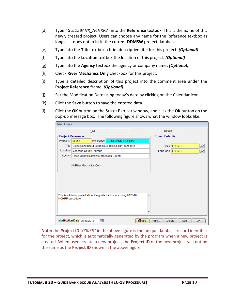- (d) Type "*GUIDEBANK\_NCHRP2*" into the **Reference** textbox. This is the name of this newly created project. Users can choose any name for the Reference textbox as long as it does not exist in the current **DDMSW** project database.
- (e) Type into the **Title** textbox a brief descriptive title for this project. *(Optional)*
- (f) Type into the **Location** textbox the location of this project. *(Optional)*
- (g) Type into the **Agency** textbox the agency or company name**.** *(Optional)*
- (h) Check **River Mechanics Only** checkbox for this project.
- (i) Type a detailed description of this project into the comment area under the **Project Reference** frame. *(Optional)*
- (j) Set the Modification Date using today's date by clicking on the Calendar icon.
- (k) Click the **Save** button to save the entered data.
- (l) Click the **OK** button on the **SELECT PROJECT** window, and click the **OK** button on the pop-up message box. The following figure shows what the window looks like.

| <b>Select Project</b>                                                                       |                                                    |     |                                                       |  |                         |                        |             |  |    |  |
|---------------------------------------------------------------------------------------------|----------------------------------------------------|-----|-------------------------------------------------------|--|-------------------------|------------------------|-------------|--|----|--|
|                                                                                             | List                                               |     |                                                       |  |                         | Details                |             |  |    |  |
|                                                                                             | <b>Project Reference</b>                           |     |                                                       |  | <b>Project Defaults</b> |                        |             |  |    |  |
| Project ID                                                                                  | 00055                                              |     | Reference GUIDEBANK_NCHRP2                            |  |                         |                        |             |  |    |  |
|                                                                                             |                                                    |     | Title   Guide Bank Scour using HEC-18 NCHRP Procedure |  |                         |                        | Soils FCDMC |  |    |  |
| Location                                                                                    | Maricopa County, Arizona                           |     |                                                       |  |                         | Land Use   FCDMC       |             |  |    |  |
|                                                                                             | Agency   Flood Control District of Maricopa County |     |                                                       |  |                         |                        |             |  |    |  |
|                                                                                             | River Mechanics Only                               |     |                                                       |  |                         |                        |             |  |    |  |
| This is a tutorial project about the guide bank scour using HEC-18<br>▲<br>NCHRP procedure. |                                                    |     |                                                       |  |                         |                        |             |  |    |  |
|                                                                                             | Modification Date 05/10/2018                       | ia. |                                                       |  | <b>O</b> Info           | Print<br><b>Delete</b> | Add         |  | QK |  |

**Note:** the **Project ID** "*00055"* in the above figure is the unique database record identifier for the project, which is automatically generated by the program when a new project is created. When users create a new project, the **Project ID** of the new project will not be the same as the **Project ID** shown in the above figure.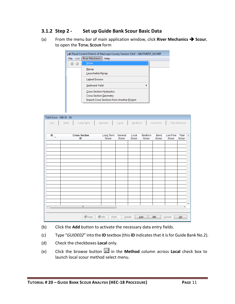# <span id="page-12-0"></span>**3.1.2 Step 2 - Set up Guide Bank Scour Basic Data**

(a) From the menu bar of main application window, click **River Mechanics**  $\rightarrow$  **Scour**, to open the **TOTAL SCOUR** form

|               | Flood Control District of Maricopa County Version: 5.6.0 - ABUTMENT_NCHRP                                             |  |  |  |  |  |  |
|---------------|-----------------------------------------------------------------------------------------------------------------------|--|--|--|--|--|--|
| Edit<br>File: | River Mechanics<br>Help                                                                                               |  |  |  |  |  |  |
|               | Scour                                                                                                                 |  |  |  |  |  |  |
|               | Riprap<br>Launchable Riprap                                                                                           |  |  |  |  |  |  |
|               | <b>Lateral Erosion</b>                                                                                                |  |  |  |  |  |  |
|               | Sediment Yield                                                                                                        |  |  |  |  |  |  |
|               | <b>Cross Section Hydraulics</b><br><b>Cross Section Geometry</b><br><b>Import Cross Sections from Another Project</b> |  |  |  |  |  |  |
|               |                                                                                                                       |  |  |  |  |  |  |

|                             | Total Scour - MB: 01 - ID: |                      |                         |                      |         |             |           |          |                |
|-----------------------------|----------------------------|----------------------|-------------------------|----------------------|---------|-------------|-----------|----------|----------------|
| $\underline{\mathsf{List}}$ | Total                      | Long Term            | General                 | $L\underline{o}$ cal | Bedform |             | Low Flow  |          | Pier Influence |
|                             |                            |                      |                         |                      |         |             |           |          |                |
| ID<br>$\Delta$              |                            | <b>Cross Section</b> | Long Term               | General              | Local   | Bedform     | Bend      | Low Flow | Total          |
|                             |                            | ID                   | Scour                   | Scour                | Scour   | Scour       | Scour     | Scour    | Scour          |
|                             |                            |                      |                         |                      |         |             |           |          |                |
|                             |                            |                      |                         |                      |         |             |           |          |                |
|                             |                            |                      |                         |                      |         |             |           |          |                |
|                             |                            |                      |                         |                      |         |             |           |          |                |
|                             |                            |                      |                         |                      |         |             |           |          |                |
|                             |                            |                      |                         |                      |         |             |           |          |                |
|                             |                            |                      |                         |                      |         |             |           |          |                |
|                             |                            |                      |                         |                      |         |             |           |          |                |
|                             |                            |                      |                         |                      |         |             |           |          |                |
|                             |                            |                      |                         |                      |         |             |           |          |                |
|                             |                            |                      |                         |                      |         |             |           |          |                |
|                             |                            |                      |                         |                      |         |             |           |          |                |
|                             |                            |                      |                         |                      |         |             |           |          |                |
|                             |                            |                      |                         |                      |         |             |           |          |                |
|                             |                            | $\mathbb{H}$         |                         |                      |         |             |           |          | k              |
|                             |                            |                      |                         |                      |         |             |           |          |                |
|                             |                            |                      |                         |                      |         |             |           |          |                |
|                             |                            | $\bigcirc$ Help      | $\bullet$ Info<br>Print | Delete               |         | $\Delta$ dd | <b>MB</b> | Update   | QK             |

- (b) Click the **Add** button to activate the necessary data entry fields.
- (c) Type "*GUIDE02*" into the **ID** textbox (this **ID** indicates that it is for Guide Bank No.2).
- (d) Check the checkboxes **Local** only.
- (e) Click the browse button in the **Method** column across **Local** check box to launch local scour method select menu.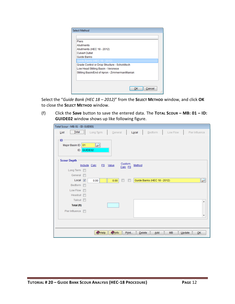| <b>Select Method</b>                           |  |
|------------------------------------------------|--|
|                                                |  |
| <b>Piers</b>                                   |  |
| Abutments                                      |  |
| Abutments (HEC 18 - 2012)                      |  |
| <b>Culvert Outlet</b>                          |  |
| Guide Banks                                    |  |
| Guide Banks (HEC 18 - 2012                     |  |
| Grade Control or Drop Structure - Schoklitsch  |  |
| Low Head Stilling Basin - Veronese             |  |
| Stilling Basin/End of Apron - Zimmerman/Maniak |  |
|                                                |  |
|                                                |  |
| Cancel<br>ок                                   |  |

Select the "*Guide Bank (HEC 18 – 2012)*" from the **SELECT METHOD** window, and click **OK** to close the **SELECT METHOD** window.

(f) Click the **Save** button to save the entered data. The **TOTAL SCOUR – MB: 01 – ID: GUIDE02** window shows up like following figure.

| Total Scour - MB: 01 - ID: GUIDE01   |                                     |               |                   |                             |         |           |                          |
|--------------------------------------|-------------------------------------|---------------|-------------------|-----------------------------|---------|-----------|--------------------------|
| List                                 | Long Term                           | General       |                   | Local                       | Bedform | Low Flow  | Pier Influence           |
| · ID<br>Major Basin ID 01<br>ID      | $\overline{\mathcal{P}}$<br>GUIDE02 |               |                   |                             |         |           |                          |
| <b>Scour Depth</b>                   |                                     |               |                   |                             |         |           |                          |
|                                      | Include Calc                        | FS Value      | Custom<br>Calc FS | Method                      |         |           |                          |
| Long Term                            |                                     |               |                   |                             |         |           |                          |
| General<br>$\overline{\mathbb{R}^n}$ |                                     |               |                   |                             |         |           |                          |
| Local $\boxed{v}$                    | 0.00                                | 0.00          |                   | Guide Banks (HEC 18 - 2012) |         |           | $\epsilon$               |
| Bedform <b>F</b>                     |                                     |               |                   |                             |         |           |                          |
| Low Flow F                           |                                     |               |                   |                             |         |           |                          |
| Headcut $\Box$                       |                                     |               |                   |                             |         |           |                          |
| Tailcut <b>n</b>                     |                                     |               |                   |                             |         |           | ▴                        |
| Total (ft)                           |                                     |               |                   |                             |         |           |                          |
| Pier Influence <b>n</b>              |                                     |               |                   |                             |         |           |                          |
|                                      |                                     |               |                   |                             |         |           | $\overline{\phantom{a}}$ |
|                                      |                                     |               |                   |                             |         |           |                          |
|                                      |                                     |               |                   |                             |         |           |                          |
|                                      | $\bullet$ Help                      | <b>O</b> Info | Print             | Delete                      | Add     | <b>MB</b> | QK<br>Update             |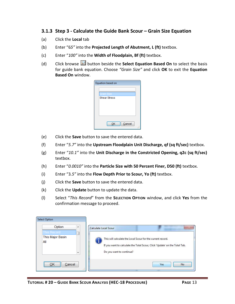### <span id="page-14-0"></span>**3.1.3 Step 3 - Calculate the Guide Bank Scour – Grain Size Equation**

- (a) Click the **Local** tab
- (b) Enter "6*5"* into the **Projected Length of Abutment, L (ft)** textbox.
- (c) Enter "*100"* into the **Width of Floodplain, Bf (ft)** textbox.
- (d) Click browse button beside the **Select Equation Based On** to select the basis for guide bank equation. Choose *"Grain Size"* and click **OK** to exit the **Equation Based On** window.

| Equation based on   |  |
|---------------------|--|
|                     |  |
| Grain Size          |  |
| <b>Shear Stress</b> |  |
|                     |  |
|                     |  |
|                     |  |
|                     |  |
|                     |  |
| Cancel<br>ОK        |  |
|                     |  |

- (e) Click the **Save** button to save the entered data.
- (f) Enter "*5.7"* into the **Upstream Floodplain Unit Discharge, qf (sq ft/sec)** textbox.
- (g) Enter "*10.1"* into the **Unit Discharge in the Constricted Opening, q2c (sq ft/sec)** textbox.
- (h) Enter "*0.0010"* into the **Particle Size with 50 Percent Finer, D50 (ft)** textbox.
- (i) Enter "3*.5"* into the **Flow Depth Prior to Scour, Yo (ft)** textbox.
- (j) Click the **Save** button to save the entered data.
- (k) Click the **Update** button to update the data.
- (l) Select "*This Record*" from the **SELECTION OPTION** window, and click **Yes** from the confirmation message to proceed.

| <b>Select Option</b>     |                                                                            |
|--------------------------|----------------------------------------------------------------------------|
| Option<br>▴              | Calculate Local Scour                                                      |
| This Record              |                                                                            |
| This Major Basin         | This will calculate the Local Scour for the current record.                |
| All                      |                                                                            |
|                          | If you want to calculate the Total Scour, Click 'Update' on the Total Tab. |
| $\overline{\phantom{a}}$ | Do you want to continue?                                                   |
|                          |                                                                            |
| <br>Cancel<br>DК<br>     | No.<br><b>Yes</b>                                                          |
| 48                       |                                                                            |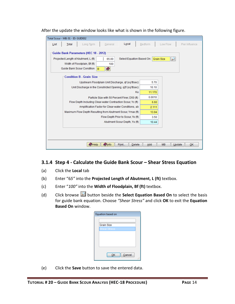| List                               | Total | Long Term                                                   | General | Local                                               | Bedform | Low Flow                 | Pier Influence |
|------------------------------------|-------|-------------------------------------------------------------|---------|-----------------------------------------------------|---------|--------------------------|----------------|
|                                    |       | Guide Bank Parameters (HEC 18 - 2012)                       |         |                                                     |         |                          |                |
|                                    |       | Projected Length of Abutment, L (ft)                        | 65.00   | Select Equation Based On: Grain Size                |         | $\overline{\mathcal{P}}$ |                |
|                                    |       | Width of Floodplain, Bf (ft)                                | 100     |                                                     |         |                          |                |
|                                    |       | Guide Bank Scour Condition<br>B                             | Ø       |                                                     |         |                          |                |
|                                    |       | <b>Condition B - Grain Size</b>                             |         |                                                     |         |                          |                |
|                                    |       |                                                             |         | Upstream Floodplain Unit Discharge, of (sq ft/sec)  | 5.70    |                          |                |
|                                    |       | Unit Discharge in the Constricted Opening, q2f (sq ft/sec)  |         |                                                     | 10.10   |                          |                |
| Ku                                 |       |                                                             |         | 11.170                                              |         |                          |                |
|                                    |       |                                                             |         | Particle Size with 50 Percent Finer, D50 (ft)       | 0.0010  |                          |                |
|                                    |       | Flow Depth Including Clear-water Contraction Scour, Yc (ft) |         |                                                     | 6.60    |                          |                |
|                                    |       |                                                             |         | Amplification Factor for Clear-water Conditions, ab | 2.111   |                          |                |
|                                    |       | Maximum Flow Depth Resulting from Abutment Scour, Ymax (ft) |         |                                                     | 13.94   |                          |                |
| Flow Depth Prior to Scour, Yo (ft) |       |                                                             |         |                                                     | 3.50    |                          |                |
|                                    |       |                                                             |         | Abutment Scour Depth, Ys (ft)                       | 10.44   |                          |                |
|                                    |       |                                                             |         |                                                     |         |                          |                |
|                                    |       |                                                             |         |                                                     |         |                          |                |

After the update the window looks like what is shown in the following figure.

# <span id="page-15-0"></span>**3.1.4 Step 4 - Calculate the Guide Bank Scour – Shear Stress Equation**

- (a) Click the **Local** tab
- (b) Enter "6*5"* into the **Projected Length of Abutment, L (ft)** textbox.
- (c) Enter "*100"* into the **Width of Floodplain, Bf (ft)** textbox.
- (d) Click browse **button beside the Select Equation Based On** to select the basis for guide bank equation. Choose *"Shear Stress"* and click **OK** to exit the **Equation Based On** window.

| Equation based on |  |
|-------------------|--|
|                   |  |
| <b>Grain Size</b> |  |
| Shear Stress      |  |
|                   |  |
|                   |  |
|                   |  |
|                   |  |
|                   |  |
| Cancel<br>ОΚ      |  |
|                   |  |

(e) Click the **Save** button to save the entered data.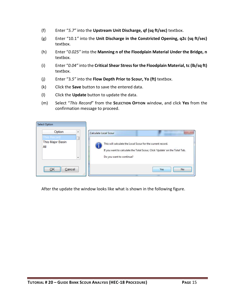- (f) Enter "*5.7"* into the **Upstream Unit Discharge, qf (sq ft/sec)** textbox.
- (g) Enter "10.1*"* into the **Unit Discharge in the Constricted Opening, q2c (sq ft/sec)** textbox.
- (h) Enter "*0.025"* into the **Manning n of the Floodplain Material Under the Bridge, n** textbox.
- (i) Enter "*0.04"* into the **Critical Shear Stress for the Floodplain Material, tc (lb/sq ft)** textbox.
- (j) Enter "3*.5"* into the **Flow Depth Prior to Scour, Yo (ft)** textbox.
- (k) Click the **Save** button to save the entered data.
- (l) Click the **Update** button to update the data.
- (m) Select "*This Record*" from the **SELECTION OPTION** window, and click **Yes** from the confirmation message to proceed.

| <b>Select Option</b>                                                               |                                                                                                                                                                                                |
|------------------------------------------------------------------------------------|------------------------------------------------------------------------------------------------------------------------------------------------------------------------------------------------|
| Option<br>×.<br>This Record<br>This Major Basin<br>All<br>$\overline{\phantom{a}}$ | Calculate Local Scour<br>This will calculate the Local Scour for the current record.<br>If you want to calculate the Total Scour, Click 'Update' on the Total Tab.<br>Do you want to continue? |
| <br>Cancel<br><br>-11                                                              | <b>Yes</b><br>No.                                                                                                                                                                              |

After the update the window looks like what is shown in the following figure.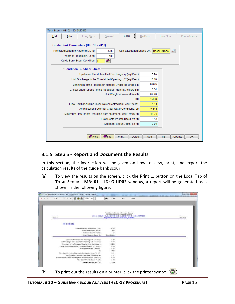| Total Scour - MB: 01 - ID: GUIDE02                                                                                                                                    |                                        |
|-----------------------------------------------------------------------------------------------------------------------------------------------------------------------|----------------------------------------|
| Local<br>Long Term<br>General<br>List<br>Total                                                                                                                        | Bedform<br>Low Flow<br>Pier Influence  |
| Guide Bank Parameters (HEC 18 - 2012)<br>Projected Length of Abutment, L (ft)<br>65.00<br>Width of Floodplain, Bf (ft)<br>100<br>Guide Bank Scour Condition<br>O<br>B | Select Equation Based On: Shear Stress |
| <b>Condition B - Shear Stress</b>                                                                                                                                     |                                        |
| Upstream Floodplain Unit Discharge, of (sq ft/sec)                                                                                                                    | 5.70                                   |
| Unit Discharge in the Constricted Opening, q2f (sq ft/sec)                                                                                                            | 10.10                                  |
| Manning n of the Floodplain Material Under the Bridge, n                                                                                                              | 0.025                                  |
| Critical Shear Stress for the Floodplain Material, to (Ib/sq ft)                                                                                                      | 0.04                                   |
| Unit Weight of Water (Ib/cu ft)                                                                                                                                       | 62.40                                  |
| Ku                                                                                                                                                                    | 1.486                                  |
| Flow Depth Including Clear-water Contraction Scour, Yc (ft)                                                                                                           | 5.11                                   |
| Amplification Factor for Clear-water Conditions, ab                                                                                                                   | 2.111                                  |
| Maximum Flow Depth Resulting from Abutment Scour, Ymax (ft)                                                                                                           | 10.79                                  |
| Flow Depth Prior to Scour, Yo (ft)                                                                                                                                    | 3.50                                   |
| Abutment Scour Depth, Ys (ft)                                                                                                                                         | 7.29                                   |
| <b>O</b> Info<br>$\bullet$ Help<br>Print<br>Delete                                                                                                                    | <b>MB</b><br>Add<br>Update<br>OK       |

# <span id="page-17-0"></span>**3.1.5 Step 5 - Report and Document the Results**

In this section, the instruction will be given on how to view, print, and export the calculation results of the guide bank scour.

(a) To view the results on the screen, click the **Print …** button on the Local Tab of **TOTAL SCOUR – MB: 01 – ID: GUID02** window, a report will be generated as is shown in the following figure.

| 1.41<br>100%<br><b>SA</b>                                                                                           | 桷<br>T to T<br>100 <sup>t</sup><br>Total 1                                                                                                                                        |                         |
|---------------------------------------------------------------------------------------------------------------------|-----------------------------------------------------------------------------------------------------------------------------------------------------------------------------------|-------------------------|
| Fage:                                                                                                               | Fleed Control District of Manuage County<br>Draingos Design Management Statem<br>LOCAL SCOUR - DUELE BANKS HEGINS CONDITION & SHEAR STRESS<br>Preject Reference: GUIDEBANK NCHRP2 | 11,542,959<br>6/14/2018 |
| <b>ID: 6 UIDE 02</b>                                                                                                |                                                                                                                                                                                   |                         |
| Projected Langth of Abulment, L. LR.                                                                                | 86.DC                                                                                                                                                                             |                         |
| Walth of Financialis, M. 119.                                                                                       |                                                                                                                                                                                   |                         |
| <b>Als direct Soaur Condition</b>                                                                                   |                                                                                                                                                                                   |                         |
| Setect Equation Based On:                                                                                           | Shear Street                                                                                                                                                                      |                         |
| Upstream Floorbolen Unit Discharge, of Cart fried.                                                                  | 5.70                                                                                                                                                                              |                         |
| Unit Discharge in the Constituted Opening, g21 (sq.fbiasc)                                                          | 10.10                                                                                                                                                                             |                         |
| Manning in of the Floodblain Maderial Under the Bridge, in                                                          | 0.028                                                                                                                                                                             |                         |
| Critical Shear Stress for the Floodplain Material, to (16/ag ft)                                                    | 0.04                                                                                                                                                                              |                         |
| nt Waight of Water   lists ft                                                                                       | 82.40                                                                                                                                                                             |                         |
|                                                                                                                     | 1,438                                                                                                                                                                             |                         |
| Fibre Depth Including Clear-mater Contraction Scion, Yic. Lift<br>Anythester-Factor for Cleanwater Conditions, all- | 8.11<br>2.11                                                                                                                                                                      |                         |
| Maximum Flow Dayth Resulting from Abutment Scour, Yvies 1. N.                                                       | 10.78                                                                                                                                                                             |                         |
| Flow Dapty Prior to Suite: Yo 178                                                                                   | 3.80                                                                                                                                                                              |                         |
| Scour depth, ys (ff)                                                                                                | 7.29                                                                                                                                                                              |                         |
|                                                                                                                     |                                                                                                                                                                                   |                         |
|                                                                                                                     |                                                                                                                                                                                   |                         |